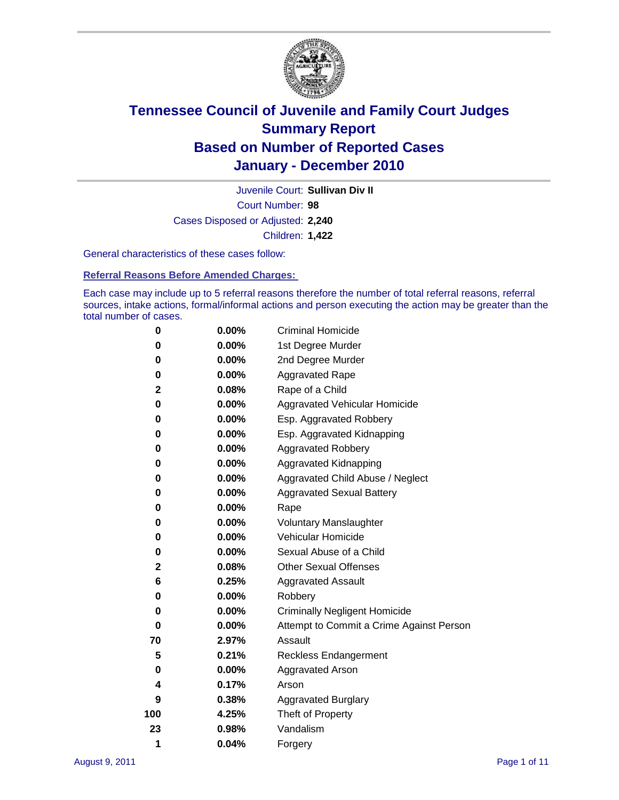

Court Number: **98** Juvenile Court: **Sullivan Div II** Cases Disposed or Adjusted: **2,240** Children: **1,422**

General characteristics of these cases follow:

**Referral Reasons Before Amended Charges:** 

Each case may include up to 5 referral reasons therefore the number of total referral reasons, referral sources, intake actions, formal/informal actions and person executing the action may be greater than the total number of cases.

| 0   | $0.00\%$ | <b>Criminal Homicide</b>                 |
|-----|----------|------------------------------------------|
| 0   | 0.00%    | 1st Degree Murder                        |
| 0   | 0.00%    | 2nd Degree Murder                        |
| 0   | $0.00\%$ | <b>Aggravated Rape</b>                   |
| 2   | 0.08%    | Rape of a Child                          |
| 0   | $0.00\%$ | Aggravated Vehicular Homicide            |
| 0   | 0.00%    | Esp. Aggravated Robbery                  |
| 0   | $0.00\%$ | Esp. Aggravated Kidnapping               |
| 0   | 0.00%    | <b>Aggravated Robbery</b>                |
| 0   | 0.00%    | Aggravated Kidnapping                    |
| 0   | 0.00%    | Aggravated Child Abuse / Neglect         |
| 0   | 0.00%    | <b>Aggravated Sexual Battery</b>         |
| 0   | $0.00\%$ | Rape                                     |
| 0   | 0.00%    | <b>Voluntary Manslaughter</b>            |
| 0   | 0.00%    | Vehicular Homicide                       |
| 0   | 0.00%    | Sexual Abuse of a Child                  |
| 2   | 0.08%    | <b>Other Sexual Offenses</b>             |
| 6   | 0.25%    | <b>Aggravated Assault</b>                |
| 0   | 0.00%    | Robbery                                  |
| 0   | $0.00\%$ | <b>Criminally Negligent Homicide</b>     |
| 0   | $0.00\%$ | Attempt to Commit a Crime Against Person |
| 70  | 2.97%    | Assault                                  |
| 5   | 0.21%    | <b>Reckless Endangerment</b>             |
| 0   | 0.00%    | <b>Aggravated Arson</b>                  |
| 4   | 0.17%    | Arson                                    |
| 9   | 0.38%    | <b>Aggravated Burglary</b>               |
| 100 | 4.25%    | Theft of Property                        |
| 23  | 0.98%    | Vandalism                                |
| 1   | 0.04%    | Forgery                                  |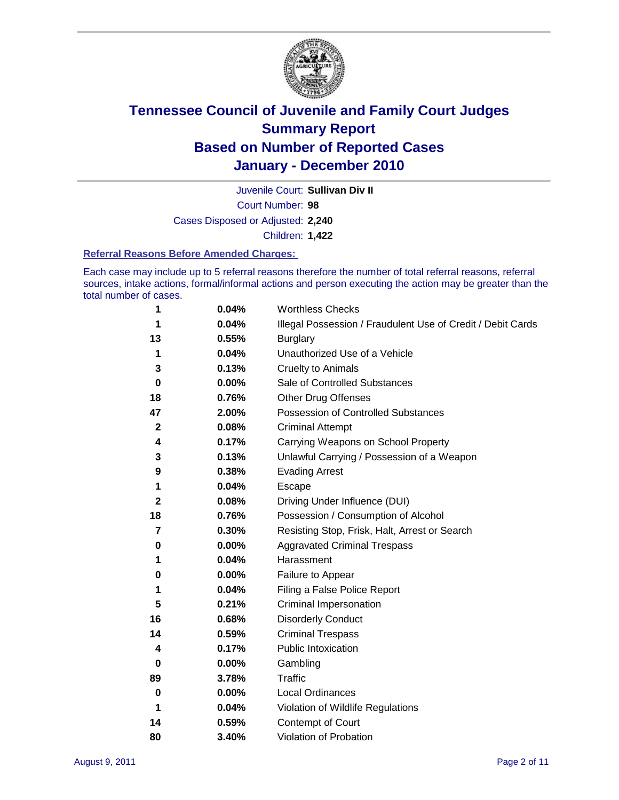

Juvenile Court: **Sullivan Div II**

Court Number: **98**

Cases Disposed or Adjusted: **2,240**

Children: **1,422**

#### **Referral Reasons Before Amended Charges:**

Each case may include up to 5 referral reasons therefore the number of total referral reasons, referral sources, intake actions, formal/informal actions and person executing the action may be greater than the total number of cases.

| 1  | 0.04%    | <b>Worthless Checks</b>                                     |
|----|----------|-------------------------------------------------------------|
| 1  | 0.04%    | Illegal Possession / Fraudulent Use of Credit / Debit Cards |
| 13 | 0.55%    | <b>Burglary</b>                                             |
| 1  | 0.04%    | Unauthorized Use of a Vehicle                               |
| 3  | 0.13%    | <b>Cruelty to Animals</b>                                   |
| 0  | 0.00%    | Sale of Controlled Substances                               |
| 18 | 0.76%    | <b>Other Drug Offenses</b>                                  |
| 47 | 2.00%    | <b>Possession of Controlled Substances</b>                  |
| 2  | 0.08%    | <b>Criminal Attempt</b>                                     |
| 4  | 0.17%    | Carrying Weapons on School Property                         |
| 3  | 0.13%    | Unlawful Carrying / Possession of a Weapon                  |
| 9  | 0.38%    | <b>Evading Arrest</b>                                       |
| 1  | 0.04%    | Escape                                                      |
| 2  | 0.08%    | Driving Under Influence (DUI)                               |
| 18 | 0.76%    | Possession / Consumption of Alcohol                         |
| 7  | 0.30%    | Resisting Stop, Frisk, Halt, Arrest or Search               |
| 0  | 0.00%    | <b>Aggravated Criminal Trespass</b>                         |
| 1  | 0.04%    | Harassment                                                  |
| 0  | 0.00%    | Failure to Appear                                           |
| 1  | 0.04%    | Filing a False Police Report                                |
| 5  | 0.21%    | Criminal Impersonation                                      |
| 16 | 0.68%    | <b>Disorderly Conduct</b>                                   |
| 14 | 0.59%    | <b>Criminal Trespass</b>                                    |
| 4  | 0.17%    | <b>Public Intoxication</b>                                  |
| 0  | 0.00%    | Gambling                                                    |
| 89 | 3.78%    | <b>Traffic</b>                                              |
| 0  | $0.00\%$ | <b>Local Ordinances</b>                                     |
| 1  | 0.04%    | Violation of Wildlife Regulations                           |
| 14 | 0.59%    | Contempt of Court                                           |
| 80 | 3.40%    | Violation of Probation                                      |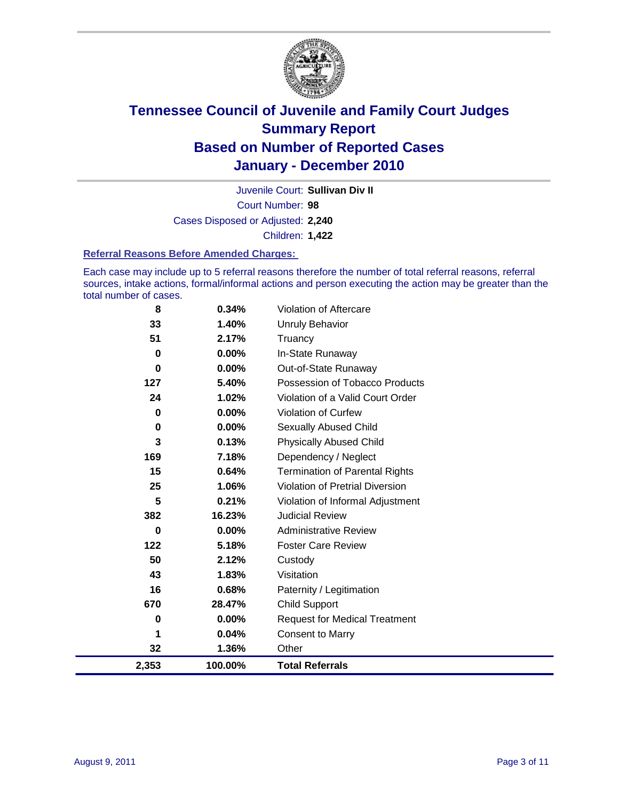

Court Number: **98** Juvenile Court: **Sullivan Div II** Cases Disposed or Adjusted: **2,240** Children: **1,422**

#### **Referral Reasons Before Amended Charges:**

Each case may include up to 5 referral reasons therefore the number of total referral reasons, referral sources, intake actions, formal/informal actions and person executing the action may be greater than the total number of cases.

| 8        | 0.34%    | Violation of Aftercare                 |
|----------|----------|----------------------------------------|
| 33       | 1.40%    | Unruly Behavior                        |
| 51       | 2.17%    | Truancy                                |
| 0        | 0.00%    | In-State Runaway                       |
| 0        | 0.00%    | Out-of-State Runaway                   |
| 127      | 5.40%    | Possession of Tobacco Products         |
| 24       | 1.02%    | Violation of a Valid Court Order       |
| 0        | 0.00%    | Violation of Curfew                    |
| 0        | 0.00%    | Sexually Abused Child                  |
| 3        | 0.13%    | <b>Physically Abused Child</b>         |
| 169      | 7.18%    | Dependency / Neglect                   |
| 15       | 0.64%    | <b>Termination of Parental Rights</b>  |
| 25       | 1.06%    | <b>Violation of Pretrial Diversion</b> |
| 5        | 0.21%    | Violation of Informal Adjustment       |
| 382      | 16.23%   | <b>Judicial Review</b>                 |
| $\bf{0}$ | $0.00\%$ | <b>Administrative Review</b>           |
| 122      | 5.18%    | <b>Foster Care Review</b>              |
| 50       | 2.12%    | Custody                                |
| 43       | 1.83%    | Visitation                             |
| 16       | 0.68%    | Paternity / Legitimation               |
| 670      | 28.47%   | <b>Child Support</b>                   |
| 0        | 0.00%    | <b>Request for Medical Treatment</b>   |
| 1        | 0.04%    | <b>Consent to Marry</b>                |
| 32       | 1.36%    | Other                                  |
| 2,353    | 100.00%  | <b>Total Referrals</b>                 |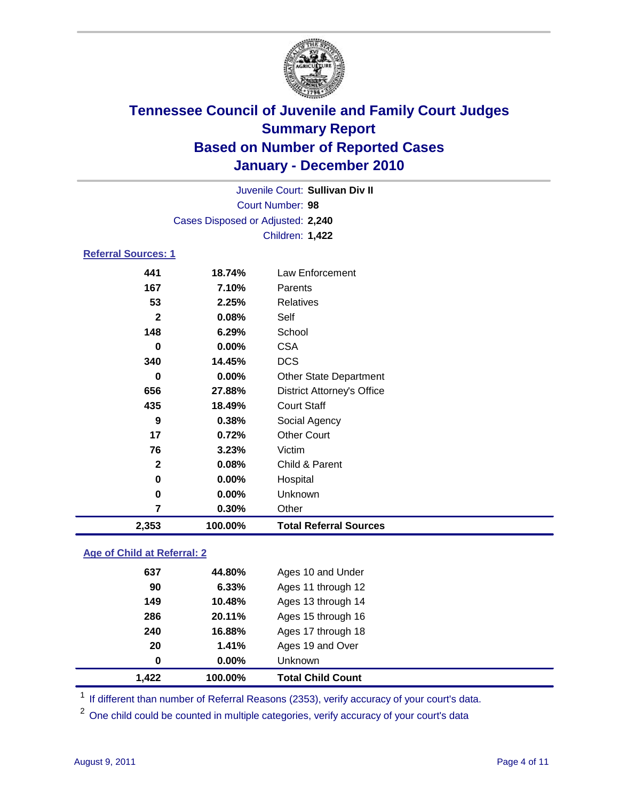

| Court Number: 98                                   |  |  |  |
|----------------------------------------------------|--|--|--|
| Cases Disposed or Adjusted: 2,240                  |  |  |  |
| Children: 1,422                                    |  |  |  |
| Referral Sources: 1                                |  |  |  |
| 441<br>Law Enforcement<br>18.74%                   |  |  |  |
| 167<br>7.10%<br>Parents                            |  |  |  |
| 53<br><b>Relatives</b><br>2.25%                    |  |  |  |
| $\mathbf{2}$<br>0.08%<br>Self                      |  |  |  |
| 148<br>School<br>6.29%                             |  |  |  |
| <b>CSA</b><br>$0.00\%$<br>0                        |  |  |  |
| 340<br><b>DCS</b><br>14.45%                        |  |  |  |
| 0.00%<br>0<br><b>Other State Department</b>        |  |  |  |
| 656<br>27.88%<br><b>District Attorney's Office</b> |  |  |  |
| <b>Court Staff</b><br>435<br>18.49%                |  |  |  |
| 9<br>0.38%<br>Social Agency                        |  |  |  |
| <b>Other Court</b><br>17<br>0.72%                  |  |  |  |
| 76<br>Victim<br>3.23%                              |  |  |  |
| $\mathbf{2}$<br>Child & Parent<br>0.08%            |  |  |  |
| 0.00%<br>Hospital<br>0                             |  |  |  |

 **0.00%** Unknown **0.30%** Other **2,353 100.00% Total Referral Sources**

### **Age of Child at Referral: 2**

| 1.41%<br>$0.00\%$ | Ages 19 and Over<br><b>Unknown</b> |
|-------------------|------------------------------------|
|                   |                                    |
|                   |                                    |
| 16.88%            | Ages 17 through 18                 |
| 20.11%            | Ages 15 through 16                 |
| 10.48%            | Ages 13 through 14                 |
| 6.33%             | Ages 11 through 12                 |
| 44.80%            | Ages 10 and Under                  |
|                   |                                    |

<sup>1</sup> If different than number of Referral Reasons (2353), verify accuracy of your court's data.

<sup>2</sup> One child could be counted in multiple categories, verify accuracy of your court's data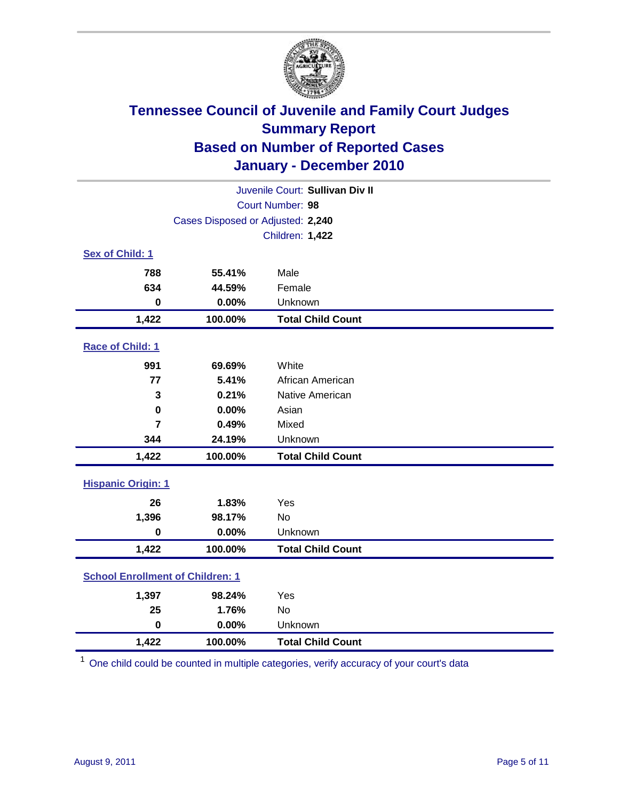

| Juvenile Court: Sullivan Div II         |                                   |                          |  |
|-----------------------------------------|-----------------------------------|--------------------------|--|
|                                         | Court Number: 98                  |                          |  |
|                                         | Cases Disposed or Adjusted: 2,240 |                          |  |
|                                         |                                   | Children: 1,422          |  |
| Sex of Child: 1                         |                                   |                          |  |
| 788                                     | 55.41%                            | Male                     |  |
| 634                                     | 44.59%                            | Female                   |  |
| $\bf{0}$                                | 0.00%                             | Unknown                  |  |
| 1,422                                   | 100.00%                           | <b>Total Child Count</b> |  |
| Race of Child: 1                        |                                   |                          |  |
| 991                                     | 69.69%                            | White                    |  |
| 77                                      | 5.41%                             | African American         |  |
| 3                                       | 0.21%                             | Native American          |  |
| $\bf{0}$                                | 0.00%                             | Asian                    |  |
| $\overline{7}$                          | 0.49%                             | Mixed                    |  |
| 344                                     | 24.19%                            | Unknown                  |  |
| 1,422                                   | 100.00%                           | <b>Total Child Count</b> |  |
| <b>Hispanic Origin: 1</b>               |                                   |                          |  |
| 26                                      | 1.83%                             | Yes                      |  |
| 1,396                                   | 98.17%                            | <b>No</b>                |  |
| $\bf{0}$                                | 0.00%                             | Unknown                  |  |
| 1,422                                   | 100.00%                           | <b>Total Child Count</b> |  |
| <b>School Enrollment of Children: 1</b> |                                   |                          |  |
| 1,397                                   | 98.24%                            | Yes                      |  |
| 25                                      | 1.76%                             | <b>No</b>                |  |
| $\mathbf 0$                             | 0.00%                             | Unknown                  |  |
| 1,422                                   | 100.00%                           | <b>Total Child Count</b> |  |

<sup>1</sup> One child could be counted in multiple categories, verify accuracy of your court's data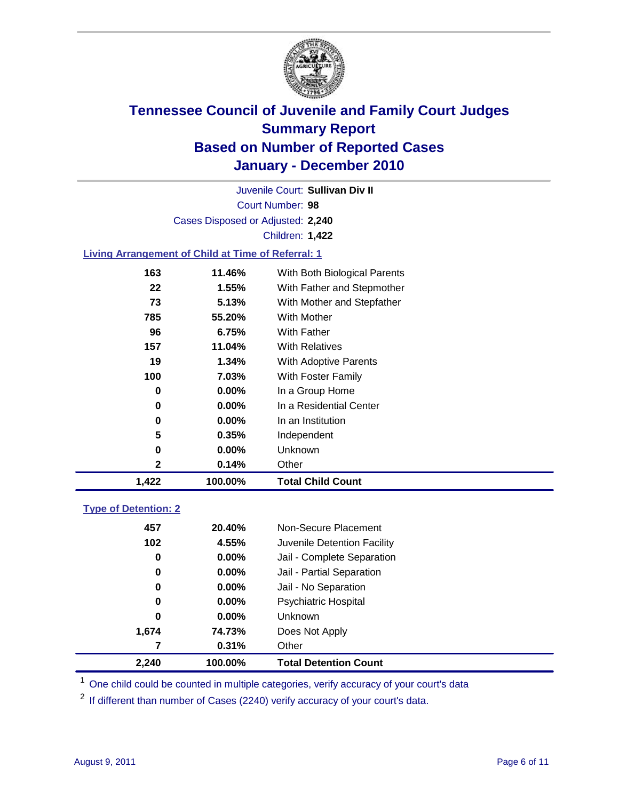

Court Number: **98** Juvenile Court: **Sullivan Div II** Cases Disposed or Adjusted: **2,240** Children: **1,422**

### **Living Arrangement of Child at Time of Referral: 1**

| 1,422 | 100.00%  | <b>Total Child Count</b>     |
|-------|----------|------------------------------|
| 2     | 0.14%    | Other                        |
| 0     | $0.00\%$ | <b>Unknown</b>               |
| 5     | 0.35%    | Independent                  |
| 0     | $0.00\%$ | In an Institution            |
| 0     | $0.00\%$ | In a Residential Center      |
| 0     | $0.00\%$ | In a Group Home              |
| 100   | 7.03%    | With Foster Family           |
| 19    | 1.34%    | With Adoptive Parents        |
| 157   | 11.04%   | <b>With Relatives</b>        |
| 96    | 6.75%    | With Father                  |
| 785   | 55.20%   | <b>With Mother</b>           |
| 73    | 5.13%    | With Mother and Stepfather   |
| 22    | 1.55%    | With Father and Stepmother   |
| 163   | 11.46%   | With Both Biological Parents |
|       |          |                              |

### **Type of Detention: 2**

| 2,240 | 100.00%  | <b>Total Detention Count</b> |  |
|-------|----------|------------------------------|--|
| 7     | 0.31%    | Other                        |  |
| 1,674 | 74.73%   | Does Not Apply               |  |
| 0     | $0.00\%$ | <b>Unknown</b>               |  |
| 0     | 0.00%    | <b>Psychiatric Hospital</b>  |  |
| 0     | 0.00%    | Jail - No Separation         |  |
| 0     | $0.00\%$ | Jail - Partial Separation    |  |
| 0     | 0.00%    | Jail - Complete Separation   |  |
| 102   | 4.55%    | Juvenile Detention Facility  |  |
| 457   | 20.40%   | Non-Secure Placement         |  |
|       |          |                              |  |

<sup>1</sup> One child could be counted in multiple categories, verify accuracy of your court's data

<sup>2</sup> If different than number of Cases (2240) verify accuracy of your court's data.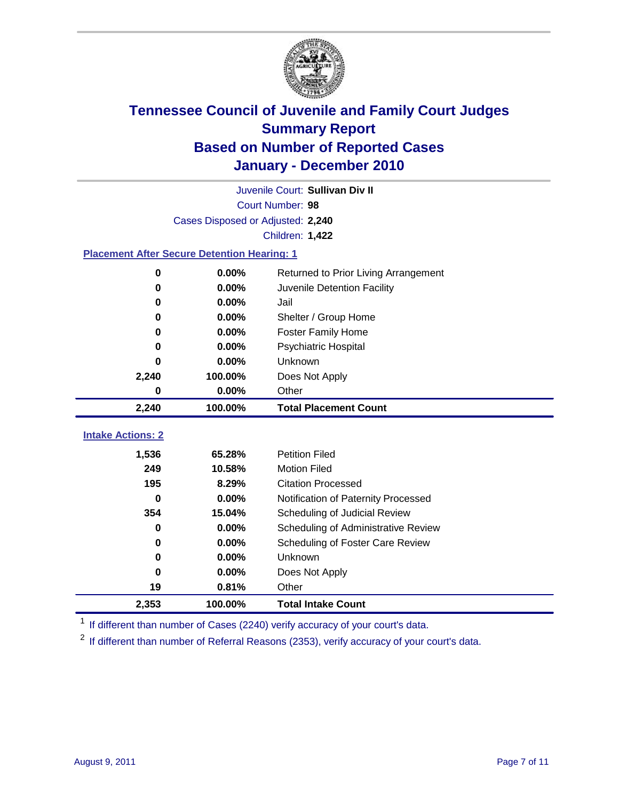

|                          | Juvenile Court: Sullivan Div II                    |                                      |  |  |  |  |
|--------------------------|----------------------------------------------------|--------------------------------------|--|--|--|--|
|                          | Court Number: 98                                   |                                      |  |  |  |  |
|                          | Cases Disposed or Adjusted: 2,240                  |                                      |  |  |  |  |
|                          | Children: 1,422                                    |                                      |  |  |  |  |
|                          | <b>Placement After Secure Detention Hearing: 1</b> |                                      |  |  |  |  |
| 0                        | 0.00%                                              | Returned to Prior Living Arrangement |  |  |  |  |
| 0                        | 0.00%                                              | Juvenile Detention Facility          |  |  |  |  |
| 0                        | 0.00%                                              | Jail                                 |  |  |  |  |
| 0                        | 0.00%                                              | Shelter / Group Home                 |  |  |  |  |
| 0                        | 0.00%                                              | <b>Foster Family Home</b>            |  |  |  |  |
| 0                        | 0.00%                                              | Psychiatric Hospital                 |  |  |  |  |
| 0                        | 0.00%                                              | Unknown                              |  |  |  |  |
| 2,240                    | 100.00%                                            | Does Not Apply                       |  |  |  |  |
| 0                        | 0.00%                                              | Other                                |  |  |  |  |
| 2,240                    | 100.00%                                            | <b>Total Placement Count</b>         |  |  |  |  |
| <b>Intake Actions: 2</b> |                                                    |                                      |  |  |  |  |
|                          |                                                    |                                      |  |  |  |  |
| 1,536                    | 65.28%                                             | <b>Petition Filed</b>                |  |  |  |  |
| 249                      | 10.58%                                             | <b>Motion Filed</b>                  |  |  |  |  |
| 195                      | 8.29%                                              | <b>Citation Processed</b>            |  |  |  |  |
| 0                        | 0.00%                                              | Notification of Paternity Processed  |  |  |  |  |
| 354                      | 15.04%                                             | Scheduling of Judicial Review        |  |  |  |  |
| 0                        | 0.00%                                              | Scheduling of Administrative Review  |  |  |  |  |
| 0                        | 0.00%                                              | Scheduling of Foster Care Review     |  |  |  |  |
| 0                        | 0.00%                                              | Unknown                              |  |  |  |  |
| 0                        | 0.00%                                              | Does Not Apply                       |  |  |  |  |
| 19                       | 0.81%                                              | Other                                |  |  |  |  |
| 2,353                    | 100.00%                                            | <b>Total Intake Count</b>            |  |  |  |  |

<sup>1</sup> If different than number of Cases (2240) verify accuracy of your court's data.

<sup>2</sup> If different than number of Referral Reasons (2353), verify accuracy of your court's data.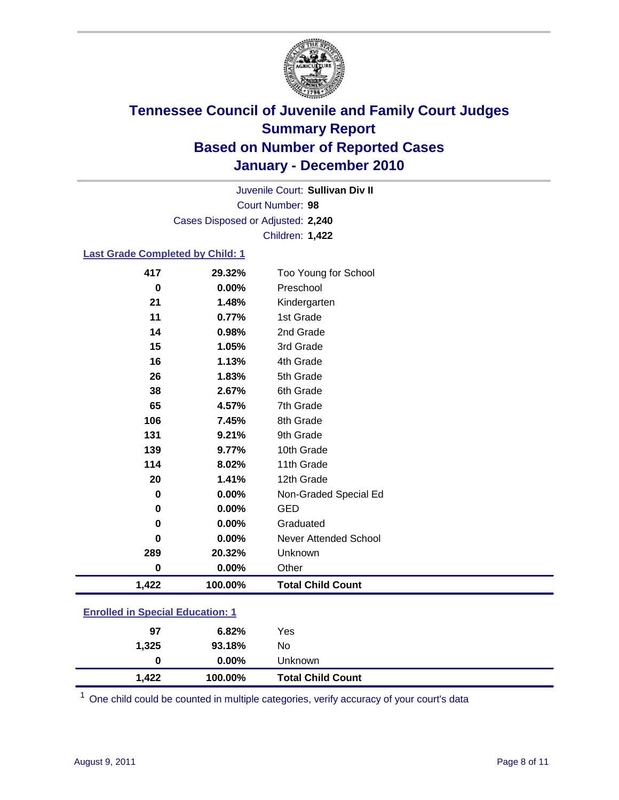

Court Number: **98** Juvenile Court: **Sullivan Div II** Cases Disposed or Adjusted: **2,240** Children: **1,422**

#### **Last Grade Completed by Child: 1**

| 417                                     | 29.32%   | Too Young for School         |
|-----------------------------------------|----------|------------------------------|
| 0                                       | $0.00\%$ | Preschool                    |
| 21                                      | 1.48%    | Kindergarten                 |
| 11                                      | 0.77%    | 1st Grade                    |
| 14                                      | 0.98%    | 2nd Grade                    |
| 15                                      | 1.05%    | 3rd Grade                    |
| 16                                      | 1.13%    | 4th Grade                    |
| 26                                      | 1.83%    | 5th Grade                    |
| 38                                      | 2.67%    | 6th Grade                    |
| 65                                      | 4.57%    | 7th Grade                    |
| 106                                     | 7.45%    | 8th Grade                    |
| 131                                     | 9.21%    | 9th Grade                    |
| 139                                     | 9.77%    | 10th Grade                   |
| 114                                     | 8.02%    | 11th Grade                   |
| 20                                      | 1.41%    | 12th Grade                   |
| $\bf{0}$                                | 0.00%    | Non-Graded Special Ed        |
| 0                                       | 0.00%    | GED                          |
| 0                                       | 0.00%    | Graduated                    |
| $\bf{0}$                                | 0.00%    | <b>Never Attended School</b> |
| 289                                     | 20.32%   | Unknown                      |
| $\bf{0}$                                | 0.00%    | Other                        |
| 1,422                                   | 100.00%  | <b>Total Child Count</b>     |
| <b>Enrolled in Special Education: 1</b> |          |                              |

| 97    | 6.82%    | Yes                      |
|-------|----------|--------------------------|
| 1,325 | 93.18%   | No                       |
| 0     | $0.00\%$ | Unknown                  |
| 1,422 | 100.00%  | <b>Total Child Count</b> |

One child could be counted in multiple categories, verify accuracy of your court's data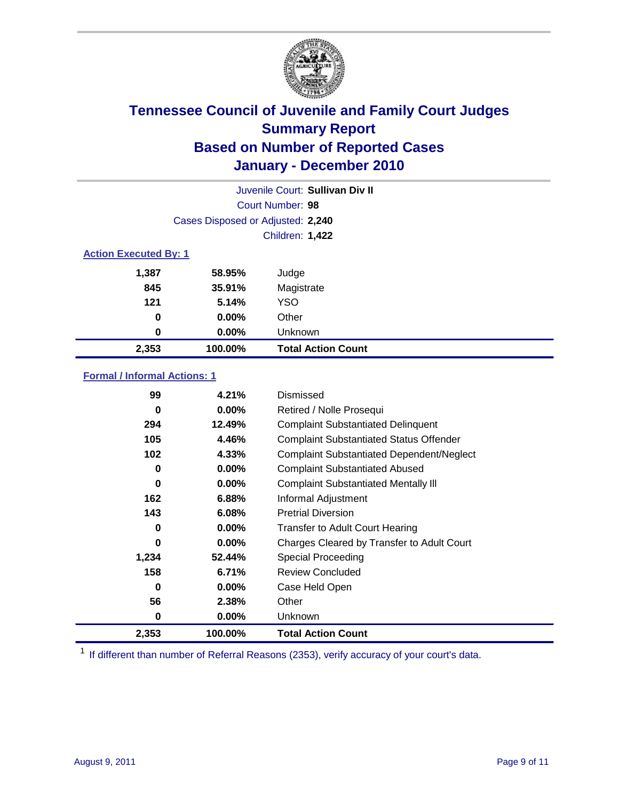

|       | Juvenile Court: Sullivan Div II   |                           |  |  |  |
|-------|-----------------------------------|---------------------------|--|--|--|
|       | Court Number: 98                  |                           |  |  |  |
|       | Cases Disposed or Adjusted: 2,240 |                           |  |  |  |
|       | Children: 1,422                   |                           |  |  |  |
|       | <b>Action Executed By: 1</b>      |                           |  |  |  |
| 1,387 | 58.95%                            | Judge                     |  |  |  |
| 845   | 35.91%                            | Magistrate                |  |  |  |
| 121   | 5.14%                             | <b>YSO</b>                |  |  |  |
| 0     | $0.00\%$                          | Other                     |  |  |  |
| 0     | $0.00\%$                          | Unknown                   |  |  |  |
| 2,353 | 100.00%                           | <b>Total Action Count</b> |  |  |  |

### **Formal / Informal Actions: 1**

| 99    | 4.21%    | Dismissed                                        |
|-------|----------|--------------------------------------------------|
| 0     | $0.00\%$ | Retired / Nolle Prosequi                         |
| 294   | 12.49%   | <b>Complaint Substantiated Delinquent</b>        |
| 105   | 4.46%    | <b>Complaint Substantiated Status Offender</b>   |
| 102   | 4.33%    | <b>Complaint Substantiated Dependent/Neglect</b> |
| 0     | $0.00\%$ | <b>Complaint Substantiated Abused</b>            |
| 0     | $0.00\%$ | <b>Complaint Substantiated Mentally III</b>      |
| 162   | 6.88%    | Informal Adjustment                              |
| 143   | 6.08%    | <b>Pretrial Diversion</b>                        |
| 0     | $0.00\%$ | <b>Transfer to Adult Court Hearing</b>           |
| 0     | $0.00\%$ | Charges Cleared by Transfer to Adult Court       |
| 1,234 | 52.44%   | <b>Special Proceeding</b>                        |
| 158   | 6.71%    | <b>Review Concluded</b>                          |
| 0     | $0.00\%$ | Case Held Open                                   |
| 56    | 2.38%    | Other                                            |
| 0     | 0.00%    | Unknown                                          |
| 2,353 | 100.00%  | <b>Total Action Count</b>                        |

<sup>1</sup> If different than number of Referral Reasons (2353), verify accuracy of your court's data.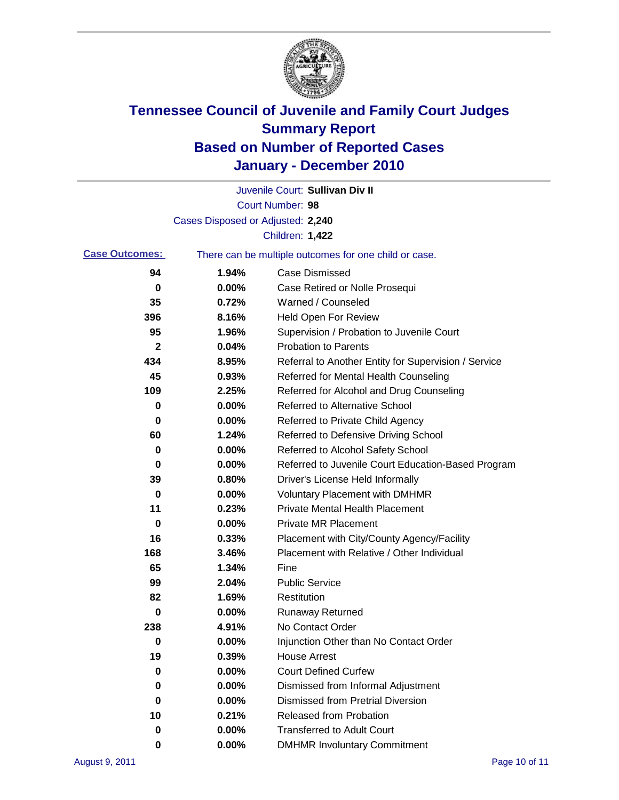

|                       |                                                       | Juvenile Court: Sullivan Div II                      |  |
|-----------------------|-------------------------------------------------------|------------------------------------------------------|--|
|                       |                                                       | Court Number: 98                                     |  |
|                       | Cases Disposed or Adjusted: 2,240                     |                                                      |  |
|                       |                                                       | Children: 1,422                                      |  |
| <b>Case Outcomes:</b> | There can be multiple outcomes for one child or case. |                                                      |  |
| 94                    | 1.94%                                                 | <b>Case Dismissed</b>                                |  |
| 0                     | 0.00%                                                 | Case Retired or Nolle Prosequi                       |  |
| 35                    | 0.72%                                                 | Warned / Counseled                                   |  |
| 396                   | 8.16%                                                 | <b>Held Open For Review</b>                          |  |
| 95                    | 1.96%                                                 | Supervision / Probation to Juvenile Court            |  |
| 2                     | 0.04%                                                 | <b>Probation to Parents</b>                          |  |
| 434                   | 8.95%                                                 | Referral to Another Entity for Supervision / Service |  |
| 45                    | 0.93%                                                 | Referred for Mental Health Counseling                |  |
| 109                   | 2.25%                                                 | Referred for Alcohol and Drug Counseling             |  |
| 0                     | 0.00%                                                 | <b>Referred to Alternative School</b>                |  |
| 0                     | 0.00%                                                 | Referred to Private Child Agency                     |  |
| 60                    | 1.24%                                                 | Referred to Defensive Driving School                 |  |
| 0                     | 0.00%                                                 | Referred to Alcohol Safety School                    |  |
| 0                     | 0.00%                                                 | Referred to Juvenile Court Education-Based Program   |  |
| 39                    | 0.80%                                                 | Driver's License Held Informally                     |  |
| 0                     | 0.00%                                                 | <b>Voluntary Placement with DMHMR</b>                |  |
| 11                    | 0.23%                                                 | <b>Private Mental Health Placement</b>               |  |
| 0                     | 0.00%                                                 | <b>Private MR Placement</b>                          |  |
| 16                    | 0.33%                                                 | Placement with City/County Agency/Facility           |  |
| 168                   | 3.46%                                                 | Placement with Relative / Other Individual           |  |
| 65                    | 1.34%                                                 | Fine                                                 |  |
| 99                    | 2.04%                                                 | <b>Public Service</b>                                |  |
| 82                    | 1.69%                                                 | Restitution                                          |  |
| 0                     | 0.00%                                                 | <b>Runaway Returned</b>                              |  |
| 238                   | 4.91%                                                 | No Contact Order                                     |  |
| 0                     | 0.00%                                                 | Injunction Other than No Contact Order               |  |
| 19                    | 0.39%                                                 | <b>House Arrest</b>                                  |  |
| 0                     | 0.00%                                                 | <b>Court Defined Curfew</b>                          |  |
| 0                     | 0.00%                                                 | Dismissed from Informal Adjustment                   |  |
| 0                     | 0.00%                                                 | <b>Dismissed from Pretrial Diversion</b>             |  |
| 10                    | 0.21%                                                 | <b>Released from Probation</b>                       |  |
| 0                     | 0.00%                                                 | <b>Transferred to Adult Court</b>                    |  |
| 0                     | $0.00\%$                                              | <b>DMHMR Involuntary Commitment</b>                  |  |